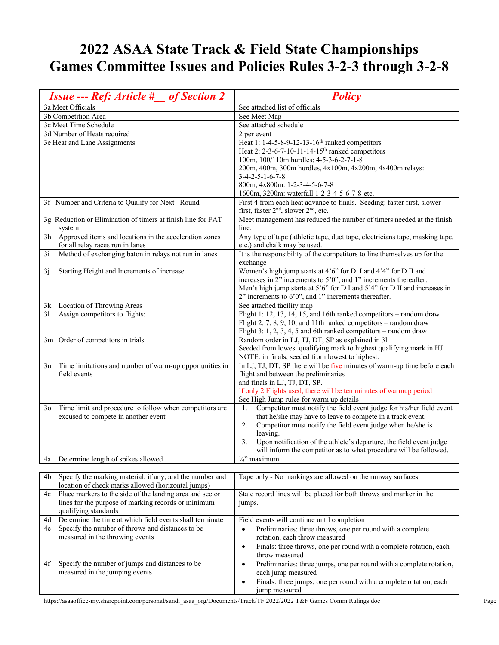## **2022 ASAA State Track & Field State Championships Games Committee Issues and Policies Rules 3-2-3 through 3-2-8**

| 3a Meet Officials<br>See attached list of officials<br>3b Competition Area<br>See Meet Map<br>3c Meet Time Schedule<br>See attached schedule<br>3d Number of Heats required<br>2 per event<br>3e Heat and Lane Assignments<br>Heat 1: 1-4-5-8-9-12-13-16 <sup>th</sup> ranked competitors<br>Heat 2: 2-3-6-7-10-11-14-15 <sup>th</sup> ranked competitors<br>100m, 100/110m hurdles: 4-5-3-6-2-7-1-8<br>200m, 400m, 300m hurdles, 4x100m, 4x200m, 4x400m relays:<br>$3-4-2-5-1-6-7-8$ |
|---------------------------------------------------------------------------------------------------------------------------------------------------------------------------------------------------------------------------------------------------------------------------------------------------------------------------------------------------------------------------------------------------------------------------------------------------------------------------------------|
|                                                                                                                                                                                                                                                                                                                                                                                                                                                                                       |
|                                                                                                                                                                                                                                                                                                                                                                                                                                                                                       |
|                                                                                                                                                                                                                                                                                                                                                                                                                                                                                       |
|                                                                                                                                                                                                                                                                                                                                                                                                                                                                                       |
|                                                                                                                                                                                                                                                                                                                                                                                                                                                                                       |
|                                                                                                                                                                                                                                                                                                                                                                                                                                                                                       |
|                                                                                                                                                                                                                                                                                                                                                                                                                                                                                       |
|                                                                                                                                                                                                                                                                                                                                                                                                                                                                                       |
| 800m, 4x800m: 1-2-3-4-5-6-7-8                                                                                                                                                                                                                                                                                                                                                                                                                                                         |
| 1600m, 3200m: waterfall 1-2-3-4-5-6-7-8-etc.                                                                                                                                                                                                                                                                                                                                                                                                                                          |
| First 4 from each heat advance to finals. Seeding: faster first, slower<br>3f Number and Criteria to Qualify for Next Round                                                                                                                                                                                                                                                                                                                                                           |
| first, faster 2 <sup>nd</sup> , slower 2 <sup>nd</sup> , etc.                                                                                                                                                                                                                                                                                                                                                                                                                         |
| Meet management has reduced the number of timers needed at the finish<br>3g Reduction or Elimination of timers at finish line for FAT                                                                                                                                                                                                                                                                                                                                                 |
| line.<br>system                                                                                                                                                                                                                                                                                                                                                                                                                                                                       |
| 3h Approved items and locations in the acceleration zones<br>Any type of tape (athletic tape, duct tape, electricians tape, masking tape,                                                                                                                                                                                                                                                                                                                                             |
| for all relay races run in lanes<br>etc.) and chalk may be used.                                                                                                                                                                                                                                                                                                                                                                                                                      |
| It is the responsibility of the competitors to line themselves up for the<br>Method of exchanging baton in relays not run in lanes<br>3i                                                                                                                                                                                                                                                                                                                                              |
| exchange                                                                                                                                                                                                                                                                                                                                                                                                                                                                              |
| Women's high jump starts at 4'6" for D I and 4'4" for D II and<br>Starting Height and Increments of increase<br>3 <sub>1</sub>                                                                                                                                                                                                                                                                                                                                                        |
| increases in 2" increments to 5'0", and 1" increments thereafter.                                                                                                                                                                                                                                                                                                                                                                                                                     |
| Men's high jump starts at 5'6" for D I and 5'4" for D II and increases in                                                                                                                                                                                                                                                                                                                                                                                                             |
| $2$ " increments to 6'0", and 1" increments thereafter.                                                                                                                                                                                                                                                                                                                                                                                                                               |
| Location of Throwing Areas<br>See attached facility map<br>3k                                                                                                                                                                                                                                                                                                                                                                                                                         |
| Flight 1: 12, 13, 14, 15, and 16th ranked competitors – random draw<br>Assign competitors to flights:<br>31                                                                                                                                                                                                                                                                                                                                                                           |
| Flight 2: 7, 8, 9, 10, and 11th ranked competitors – random draw                                                                                                                                                                                                                                                                                                                                                                                                                      |
| Flight 3: 1, 2, 3, 4, 5 and 6th ranked competitors – random draw                                                                                                                                                                                                                                                                                                                                                                                                                      |
| 3m Order of competitors in trials<br>Random order in LJ, TJ, DT, SP as explained in 31                                                                                                                                                                                                                                                                                                                                                                                                |
| Seeded from lowest qualifying mark to highest qualifying mark in HJ<br>NOTE: in finals, seeded from lowest to highest.                                                                                                                                                                                                                                                                                                                                                                |
| In LJ, TJ, DT, SP there will be five minutes of warm-up time before each<br>Time limitations and number of warm-up opportunities in<br>3n                                                                                                                                                                                                                                                                                                                                             |
| field events<br>flight and between the preliminaries                                                                                                                                                                                                                                                                                                                                                                                                                                  |
| and finals in LJ, TJ, DT, SP.                                                                                                                                                                                                                                                                                                                                                                                                                                                         |
| If only 2 Flights used, there will be ten minutes of warmup period                                                                                                                                                                                                                                                                                                                                                                                                                    |
| See High Jump rules for warm up details                                                                                                                                                                                                                                                                                                                                                                                                                                               |
| Time limit and procedure to follow when competitors are<br>Competitor must notify the field event judge for his/her field event<br>3 <sub>o</sub><br>1.                                                                                                                                                                                                                                                                                                                               |
| that he/she may have to leave to compete in a track event.<br>excused to compete in another event                                                                                                                                                                                                                                                                                                                                                                                     |
| Competitor must notify the field event judge when he/she is<br>2.                                                                                                                                                                                                                                                                                                                                                                                                                     |
| leaving.                                                                                                                                                                                                                                                                                                                                                                                                                                                                              |
| Upon notification of the athlete's departure, the field event judge<br>3.                                                                                                                                                                                                                                                                                                                                                                                                             |
| will inform the competitor as to what procedure will be followed.                                                                                                                                                                                                                                                                                                                                                                                                                     |
| 1/4" maximum<br>Determine length of spikes allowed<br>4a                                                                                                                                                                                                                                                                                                                                                                                                                              |
|                                                                                                                                                                                                                                                                                                                                                                                                                                                                                       |
| Specify the marking material, if any, and the number and<br>Tape only - No markings are allowed on the runway surfaces.<br>4b<br>location of check marks allowed (horizontal jumps)                                                                                                                                                                                                                                                                                                   |
| Place markers to the side of the landing area and sector<br>State record lines will be placed for both throws and marker in the<br>4c                                                                                                                                                                                                                                                                                                                                                 |
| lines for the purpose of marking records or minimum<br>jumps.                                                                                                                                                                                                                                                                                                                                                                                                                         |
| qualifying standards                                                                                                                                                                                                                                                                                                                                                                                                                                                                  |
| Determine the time at which field events shall terminate<br>4d<br>Field events will continue until completion                                                                                                                                                                                                                                                                                                                                                                         |
| Specify the number of throws and distances to be<br>Preliminaries: three throws, one per round with a complete<br>4e<br>$\bullet$                                                                                                                                                                                                                                                                                                                                                     |
| rotation, each throw measured<br>measured in the throwing events                                                                                                                                                                                                                                                                                                                                                                                                                      |
| Finals: three throws, one per round with a complete rotation, each<br>$\bullet$                                                                                                                                                                                                                                                                                                                                                                                                       |
| throw measured                                                                                                                                                                                                                                                                                                                                                                                                                                                                        |
| Specify the number of jumps and distances to be<br>4f<br>Preliminaries: three jumps, one per round with a complete rotation,<br>$\bullet$                                                                                                                                                                                                                                                                                                                                             |
| measured in the jumping events<br>each jump measured                                                                                                                                                                                                                                                                                                                                                                                                                                  |
| Finals: three jumps, one per round with a complete rotation, each<br>$\bullet$                                                                                                                                                                                                                                                                                                                                                                                                        |
| jump measured                                                                                                                                                                                                                                                                                                                                                                                                                                                                         |

https://asaaoffice-my.sharepoint.com/personal/sandi\_asaa\_org/Documents/Track/TF 2022/2022 T&F Games Comm Rulings.doc Page 1 Page